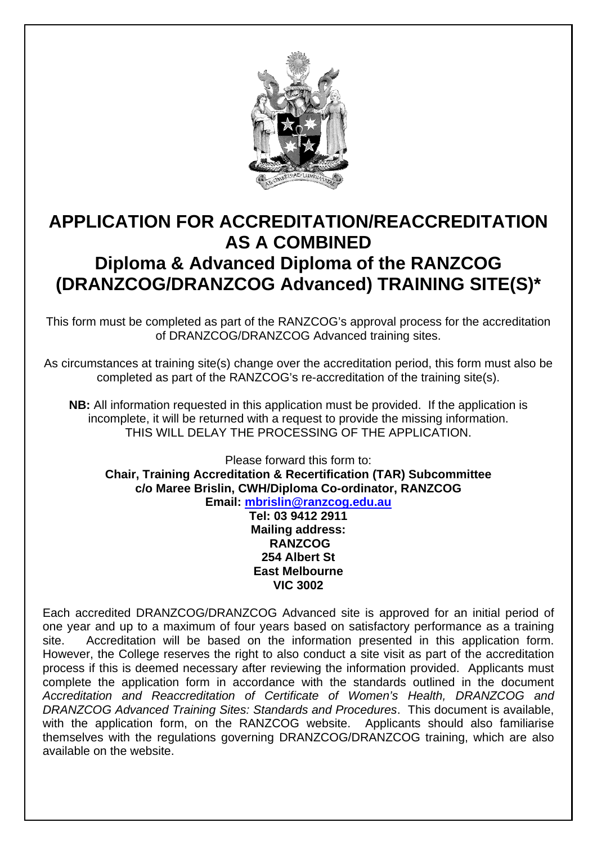

# **APPLICATION FOR ACCREDITATION/REACCREDITATION AS A COMBINED Diploma & Advanced Diploma of the RANZCOG (DRANZCOG/DRANZCOG Advanced) TRAINING SITE(S)\***

This form must be completed as part of the RANZCOG's approval process for the accreditation of DRANZCOG/DRANZCOG Advanced training sites.

As circumstances at training site(s) change over the accreditation period, this form must also be completed as part of the RANZCOG's re-accreditation of the training site(s).

**NB:** All information requested in this application must be provided. If the application is incomplete, it will be returned with a request to provide the missing information. THIS WILL DELAY THE PROCESSING OF THE APPLICATION.

Please forward this form to: **Chair, Training Accreditation & Recertification (TAR) Subcommittee c/o Maree Brislin, CWH/Diploma Co-ordinator, RANZCOG Email: mbrislin@ranzcog.edu.au**

> **Tel: 03 9412 2911 Mailing address: RANZCOG 254 Albert St East Melbourne VIC 3002**

Each accredited DRANZCOG/DRANZCOG Advanced site is approved for an initial period of one year and up to a maximum of four years based on satisfactory performance as a training site. Accreditation will be based on the information presented in this application form. However, the College reserves the right to also conduct a site visit as part of the accreditation process if this is deemed necessary after reviewing the information provided. Applicants must complete the application form in accordance with the standards outlined in the document *Accreditation and Reaccreditation of Certificate of Women's Health, DRANZCOG and DRANZCOG Advanced Training Sites: Standards and Procedures*. This document is available, with the application form, on the RANZCOG website. Applicants should also familiarise themselves with the regulations governing DRANZCOG/DRANZCOG training, which are also available on the website.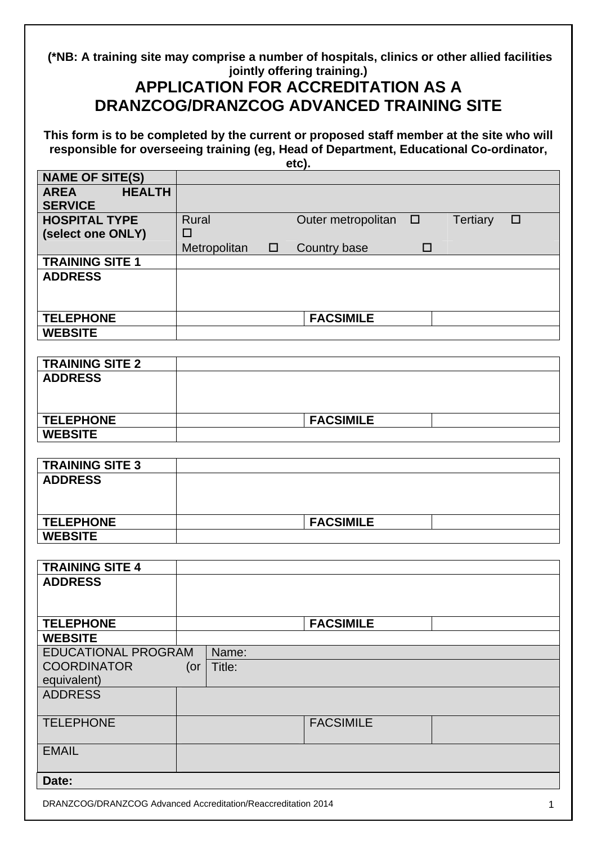**(\*NB: A training site may comprise a number of hospitals, clinics or other allied facilities jointly offering training.)** 

## **APPLICATION FOR ACCREDITATION AS A DRANZCOG/DRANZCOG ADVANCED TRAINING SITE**

**This form is to be completed by the current or proposed staff member at the site who will responsible for overseeing training (eg, Head of Department, Educational Co-ordinator, etc).** 

|                              | ---,                                                               |
|------------------------------|--------------------------------------------------------------------|
| <b>NAME OF SITE(S)</b>       |                                                                    |
| <b>HEALTH</b><br><b>AREA</b> |                                                                    |
| <b>SERVICE</b>               |                                                                    |
| <b>HOSPITAL TYPE</b>         |                                                                    |
|                              | Outer metropolitan<br>Tertiary<br><b>Rural</b><br>$\Box$<br>$\Box$ |
| (select one ONLY)            | □                                                                  |
|                              | Metropolitan<br>Country base<br>$\Box$<br>$\Box$                   |
| <b>TRAINING SITE 1</b>       |                                                                    |
| <b>ADDRESS</b>               |                                                                    |
|                              |                                                                    |
|                              |                                                                    |
|                              |                                                                    |
| <b>TELEPHONE</b>             | <b>FACSIMILE</b>                                                   |
| <b>WEBSITE</b>               |                                                                    |
|                              |                                                                    |
|                              |                                                                    |
| <b>TRAINING SITE 2</b>       |                                                                    |
| <b>ADDRESS</b>               |                                                                    |
|                              |                                                                    |
|                              |                                                                    |
|                              |                                                                    |
| <b>TELEPHONE</b>             | <b>FACSIMILE</b>                                                   |
| <b>WEBSITE</b>               |                                                                    |
|                              |                                                                    |
|                              |                                                                    |
| <b>TRAINING SITE 3</b>       |                                                                    |
| <b>ADDRESS</b>               |                                                                    |
|                              |                                                                    |
|                              |                                                                    |
|                              |                                                                    |
| <b>TELEPHONE</b>             | <b>FACSIMILE</b>                                                   |
| <b>WEBSITE</b>               |                                                                    |
|                              |                                                                    |
| <b>TRAINING SITE 4</b>       |                                                                    |
| <b>ADDRESS</b>               |                                                                    |
|                              |                                                                    |
|                              |                                                                    |
|                              |                                                                    |
| <b>TELEPHONE</b>             | <b>FACSIMILE</b>                                                   |
| <b>WEBSITE</b>               |                                                                    |
| <b>EDUCATIONAL PROGRAM</b>   |                                                                    |
|                              | Name:                                                              |
| <b>COORDINATOR</b>           | Title:<br>(or                                                      |
| equivalent)                  |                                                                    |
| <b>ADDRESS</b>               |                                                                    |
|                              |                                                                    |
|                              |                                                                    |
| <b>TELEPHONE</b>             | <b>FACSIMILE</b>                                                   |
|                              |                                                                    |
| <b>EMAIL</b>                 |                                                                    |
|                              |                                                                    |
|                              |                                                                    |
| Date:                        |                                                                    |
|                              |                                                                    |
|                              | DRANZCOG/DRANZCOG Advanced Accreditation/Reaccreditation 2014<br>1 |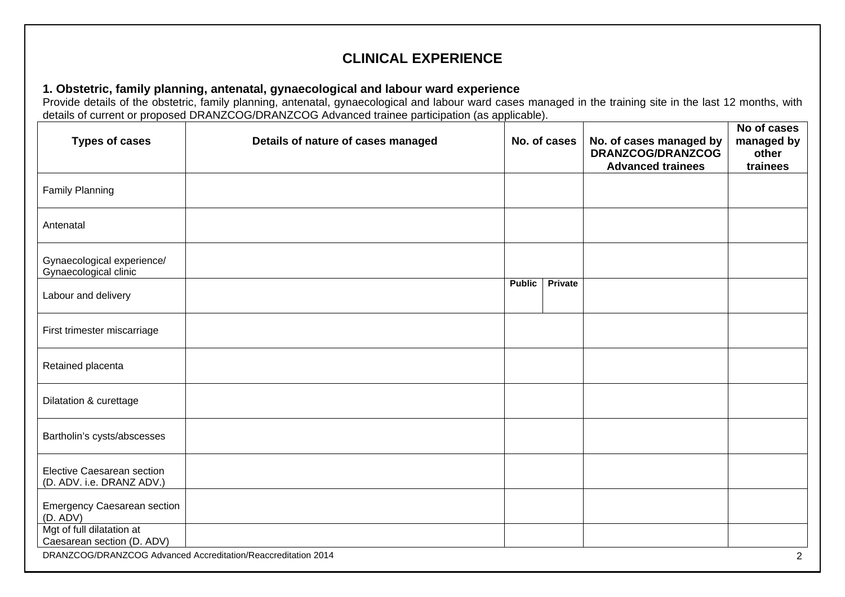## **CLINICAL EXPERIENCE**

### **1. Obstetric, family planning, antenatal, gynaecological and labour ward experience**

Provide details of the obstetric, family planning, antenatal, gynaecological and labour ward cases managed in the training site in the last 12 months, with details of current or proposed DRANZCOG/DRANZCOG Advanced trainee participation (as applicable).

| <b>Types of cases</b>                                          | Details of nature of cases managed                            |               | No. of cases | No. of cases managed by<br>DRANZCOG/DRANZCOG<br><b>Advanced trainees</b> | No of cases<br>managed by<br>other<br>trainees |
|----------------------------------------------------------------|---------------------------------------------------------------|---------------|--------------|--------------------------------------------------------------------------|------------------------------------------------|
| <b>Family Planning</b>                                         |                                                               |               |              |                                                                          |                                                |
| Antenatal                                                      |                                                               |               |              |                                                                          |                                                |
| Gynaecological experience/<br>Gynaecological clinic            |                                                               |               |              |                                                                          |                                                |
| Labour and delivery                                            |                                                               | <b>Public</b> | Private      |                                                                          |                                                |
| First trimester miscarriage                                    |                                                               |               |              |                                                                          |                                                |
| Retained placenta                                              |                                                               |               |              |                                                                          |                                                |
| Dilatation & curettage                                         |                                                               |               |              |                                                                          |                                                |
| Bartholin's cysts/abscesses                                    |                                                               |               |              |                                                                          |                                                |
| <b>Elective Caesarean section</b><br>(D. ADV. i.e. DRANZ ADV.) |                                                               |               |              |                                                                          |                                                |
| <b>Emergency Caesarean section</b><br>(D. ADV)                 |                                                               |               |              |                                                                          |                                                |
| Mgt of full dilatation at<br>Caesarean section (D. ADV)        |                                                               |               |              |                                                                          |                                                |
|                                                                | DRANZCOG/DRANZCOG Advanced Accreditation/Reaccreditation 2014 |               |              |                                                                          | $\overline{2}$                                 |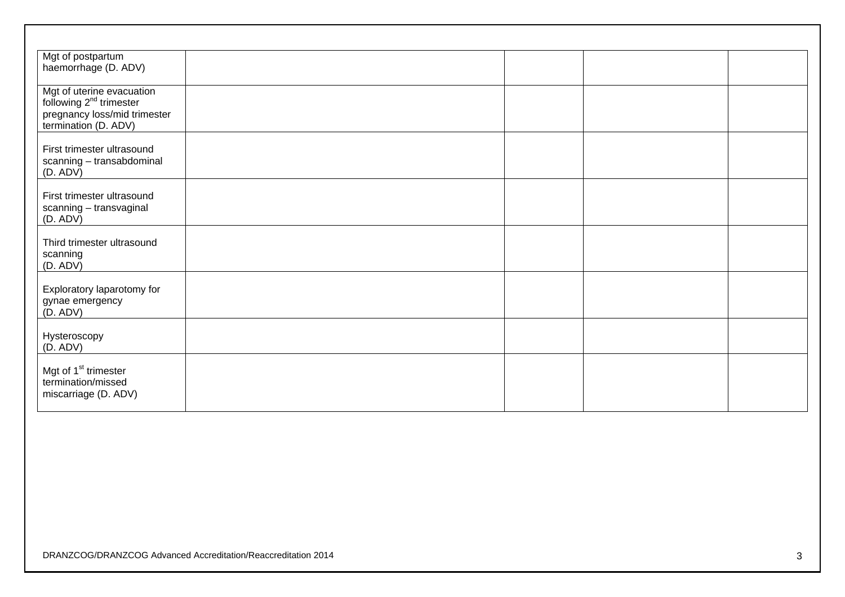| Mgt of postpartum<br>haemorrhage (D. ADV)                                                                                |  |  |
|--------------------------------------------------------------------------------------------------------------------------|--|--|
| Mgt of uterine evacuation<br>following 2 <sup>nd</sup> trimester<br>pregnancy loss/mid trimester<br>termination (D. ADV) |  |  |
| First trimester ultrasound<br>scanning - transabdominal<br>(D. ADV)                                                      |  |  |
| First trimester ultrasound<br>scanning - transvaginal<br>(D. ADV)                                                        |  |  |
| Third trimester ultrasound<br>scanning<br>(D. ADV)                                                                       |  |  |
| Exploratory laparotomy for<br>gynae emergency<br>(D. ADV)                                                                |  |  |
| Hysteroscopy<br>(D. ADV)                                                                                                 |  |  |
| Mgt of 1 <sup>st</sup> trimester<br>termination/missed<br>miscarriage (D. ADV)                                           |  |  |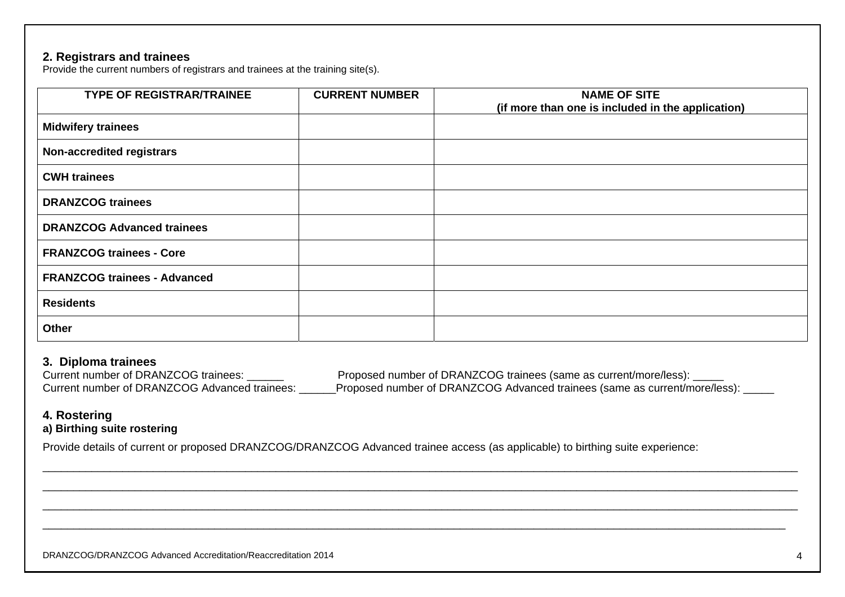#### **2. Registrars and trainees**

Provide the current numbers of registrars and trainees at the training site(s).

| <b>TYPE OF REGISTRAR/TRAINEE</b>    | <b>CURRENT NUMBER</b> | <b>NAME OF SITE</b><br>(if more than one is included in the application) |
|-------------------------------------|-----------------------|--------------------------------------------------------------------------|
| <b>Midwifery trainees</b>           |                       |                                                                          |
| <b>Non-accredited registrars</b>    |                       |                                                                          |
| <b>CWH trainees</b>                 |                       |                                                                          |
| <b>DRANZCOG trainees</b>            |                       |                                                                          |
| <b>DRANZCOG Advanced trainees</b>   |                       |                                                                          |
| <b>FRANZCOG trainees - Core</b>     |                       |                                                                          |
| <b>FRANZCOG trainees - Advanced</b> |                       |                                                                          |
| <b>Residents</b>                    |                       |                                                                          |
| Other                               |                       |                                                                          |

#### **3. Diploma trainees**

Current number of DRANZCOG trainees: \_\_\_\_\_\_ Proposed number of DRANZCOG trainees (same as current/more/less): \_\_\_\_\_ Current number of DRANZCOG Advanced trainees: \_\_\_\_\_\_Proposed number of DRANZCOG Advanced trainees (same as current/more/less): \_\_\_\_\_

### **4. Rostering**

## **a) Birthing suite rostering**

Provide details of current or proposed DRANZCOG/DRANZCOG Advanced trainee access (as applicable) to birthing suite experience: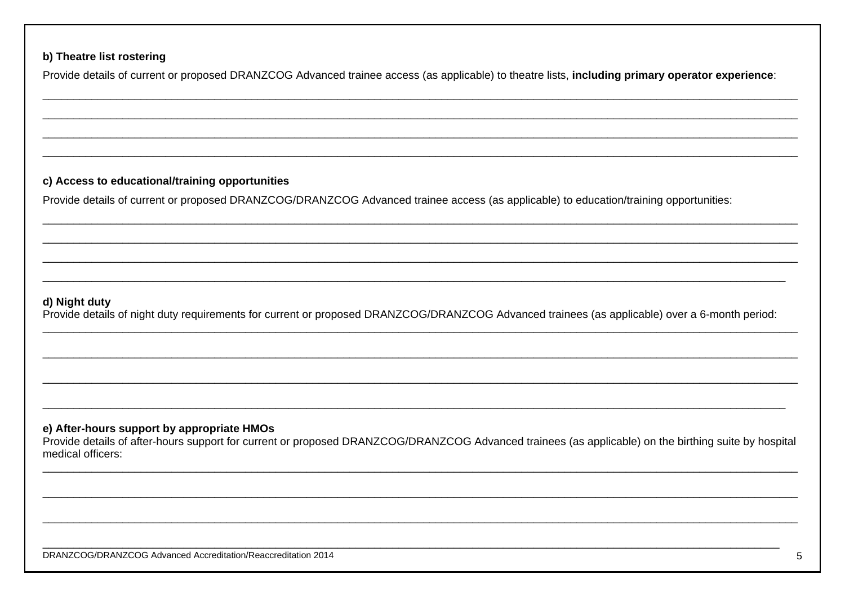### b) Theatre list rostering

Provide details of current or proposed DRANZCOG Advanced trainee access (as applicable) to theatre lists, including primary operator experience:

### c) Access to educational/training opportunities

Provide details of current or proposed DRANZCOG/DRANZCOG Advanced trainee access (as applicable) to education/training opportunities:

#### d) Night duty

Provide details of night duty requirements for current or proposed DRANZCOG/DRANZCOG Advanced trainees (as applicable) over a 6-month period:

#### e) After-hours support by appropriate HMOs

Provide details of after-hours support for current or proposed DRANZCOG/DRANZCOG Advanced trainees (as applicable) on the birthing suite by hospital medical officers: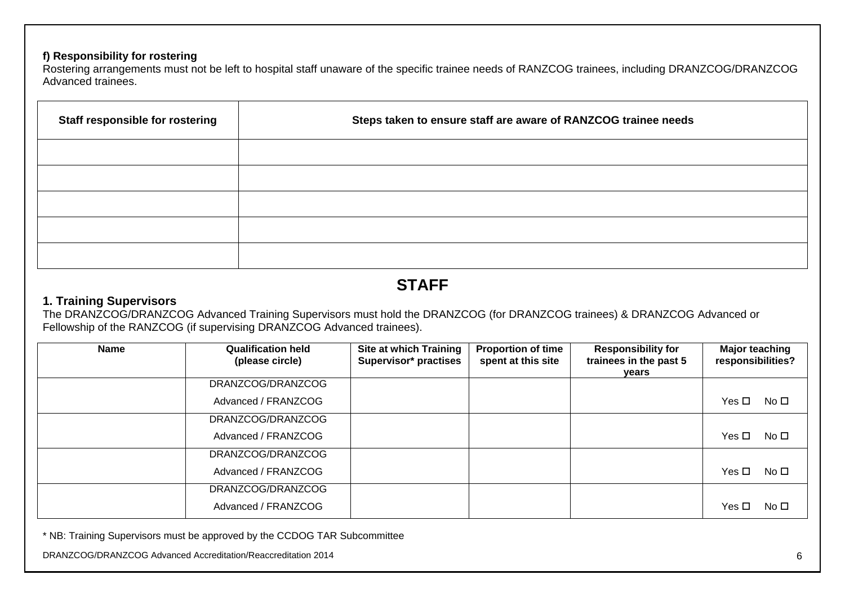## **f) Responsibility for rostering**

Rostering arrangements must not be left to hospital staff unaware of the specific trainee needs of RANZCOG trainees, including DRANZCOG/DRANZCOG Advanced trainees.

| Staff responsible for rostering | Steps taken to ensure staff are aware of RANZCOG trainee needs |
|---------------------------------|----------------------------------------------------------------|
|                                 |                                                                |
|                                 |                                                                |
|                                 |                                                                |
|                                 |                                                                |
|                                 |                                                                |

# **STAFF**

### **1. Training Supervisors**

The DRANZCOG/DRANZCOG Advanced Training Supervisors must hold the DRANZCOG (for DRANZCOG trainees) & DRANZCOG Advanced or Fellowship of the RANZCOG (if supervising DRANZCOG Advanced trainees).

| <b>Name</b> | <b>Qualification held</b><br>(please circle) | <b>Site at which Training</b><br>Supervisor* practises | <b>Proportion of time</b><br>spent at this site | <b>Responsibility for</b><br>trainees in the past 5<br>years | <b>Major teaching</b><br>responsibilities? |
|-------------|----------------------------------------------|--------------------------------------------------------|-------------------------------------------------|--------------------------------------------------------------|--------------------------------------------|
|             | DRANZCOG/DRANZCOG                            |                                                        |                                                 |                                                              |                                            |
|             | Advanced / FRANZCOG                          |                                                        |                                                 |                                                              | Yes □<br>No □                              |
|             | DRANZCOG/DRANZCOG                            |                                                        |                                                 |                                                              |                                            |
|             | Advanced / FRANZCOG                          |                                                        |                                                 |                                                              | Yes □<br>No □                              |
|             | DRANZCOG/DRANZCOG                            |                                                        |                                                 |                                                              |                                            |
|             | Advanced / FRANZCOG                          |                                                        |                                                 |                                                              | Yes $\Box$<br>No $\square$                 |
|             | DRANZCOG/DRANZCOG                            |                                                        |                                                 |                                                              |                                            |
|             | Advanced / FRANZCOG                          |                                                        |                                                 |                                                              | Yes $\Box$<br>No $\square$                 |

\* NB: Training Supervisors must be approved by the CCDOG TAR Subcommittee

DRANZCOG/DRANZCOG Advanced Accreditation/Reaccreditation 2014 6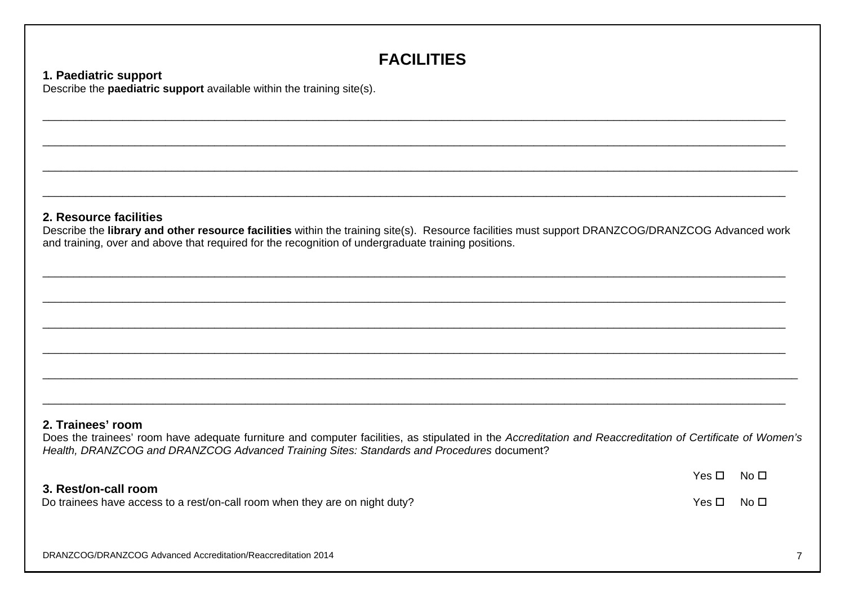# **FACILITIES**

\_\_\_\_\_\_\_\_\_\_\_\_\_\_\_\_\_\_\_\_\_\_\_\_\_\_\_\_\_\_\_\_\_\_\_\_\_\_\_\_\_\_\_\_\_\_\_\_\_\_\_\_\_\_\_\_\_\_\_\_\_\_\_\_\_\_\_\_\_\_\_\_\_\_\_\_\_\_\_\_\_\_\_\_\_\_\_\_\_\_\_\_\_\_\_\_\_\_\_\_\_\_\_\_\_\_\_\_\_\_\_\_\_\_\_\_\_\_\_\_\_

\_\_\_\_\_\_\_\_\_\_\_\_\_\_\_\_\_\_\_\_\_\_\_\_\_\_\_\_\_\_\_\_\_\_\_\_\_\_\_\_\_\_\_\_\_\_\_\_\_\_\_\_\_\_\_\_\_\_\_\_\_\_\_\_\_\_\_\_\_\_\_\_\_\_\_\_\_\_\_\_\_\_\_\_\_\_\_\_\_\_\_\_\_\_\_\_\_\_\_\_\_\_\_\_\_\_\_\_\_\_\_\_\_\_\_\_\_\_\_\_\_

### **1. Paediatric support**

Describe the **paediatric support** available within the training site(s).

## **2. Resource facilities**

Describe the **library and other resource facilities** within the training site(s). Resource facilities must support DRANZCOG/DRANZCOG Advanced work and training, over and above that required for the recognition of undergraduate training positions.

 $\mathcal{L}_\mathcal{L} = \mathcal{L}_\mathcal{L} = \mathcal{L}_\mathcal{L} = \mathcal{L}_\mathcal{L} = \mathcal{L}_\mathcal{L} = \mathcal{L}_\mathcal{L} = \mathcal{L}_\mathcal{L} = \mathcal{L}_\mathcal{L} = \mathcal{L}_\mathcal{L} = \mathcal{L}_\mathcal{L} = \mathcal{L}_\mathcal{L} = \mathcal{L}_\mathcal{L} = \mathcal{L}_\mathcal{L} = \mathcal{L}_\mathcal{L} = \mathcal{L}_\mathcal{L} = \mathcal{L}_\mathcal{L} = \mathcal{L}_\mathcal{L}$ 

 $\mathcal{L}_\mathcal{L} = \mathcal{L}_\mathcal{L} = \mathcal{L}_\mathcal{L} = \mathcal{L}_\mathcal{L} = \mathcal{L}_\mathcal{L} = \mathcal{L}_\mathcal{L} = \mathcal{L}_\mathcal{L} = \mathcal{L}_\mathcal{L} = \mathcal{L}_\mathcal{L} = \mathcal{L}_\mathcal{L} = \mathcal{L}_\mathcal{L} = \mathcal{L}_\mathcal{L} = \mathcal{L}_\mathcal{L} = \mathcal{L}_\mathcal{L} = \mathcal{L}_\mathcal{L} = \mathcal{L}_\mathcal{L} = \mathcal{L}_\mathcal{L}$ 

### **2. Trainees' room**

Does the trainees' room have adequate furniture and computer facilities, as stipulated in the *Accreditation and Reaccreditation of Certificate of Women's Health, DRANZCOG and DRANZCOG Advanced Training Sites: Standards and Procedures* document?

## **3. Rest/on-call room**

Do trainees have access to a rest/on-call room when they are on night duty?  $V \in \mathbb{R}^n$  Yes  $\square$  No  $\square$ 

 $Yes \n  $No \n  $\square$$$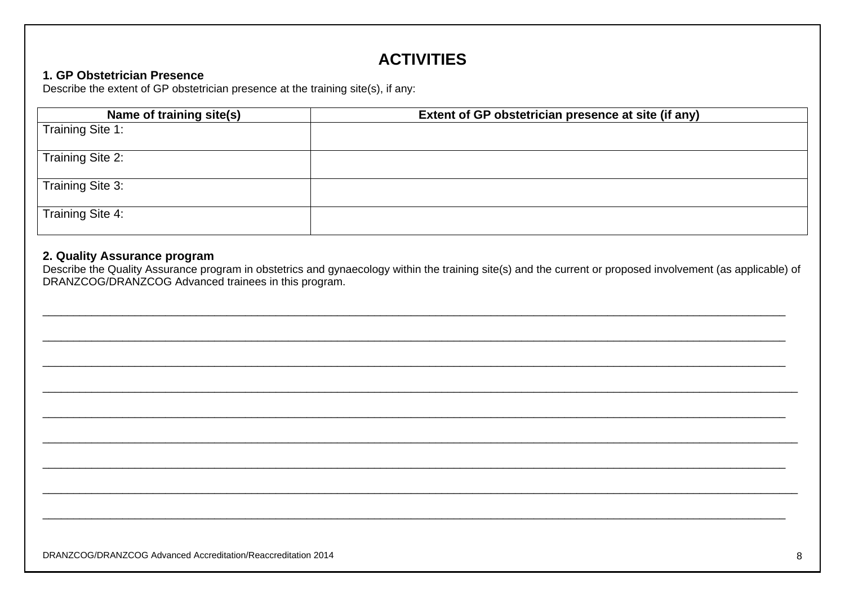# **ACTIVITIES**

## 1. GP Obstetrician Presence

Describe the extent of GP obstetrician presence at the training site(s), if any:

| Name of training site(s) | Extent of GP obstetrician presence at site (if any) |
|--------------------------|-----------------------------------------------------|
| Training Site 1:         |                                                     |
| Training Site 2:         |                                                     |
| Training Site 3:         |                                                     |
| Training Site 4:         |                                                     |

## 2. Quality Assurance program

Describe the Quality Assurance program in obstetrics and gynaecology within the training site(s) and the current or proposed involvement (as applicable) of DRANZCOG/DRANZCOG Advanced trainees in this program.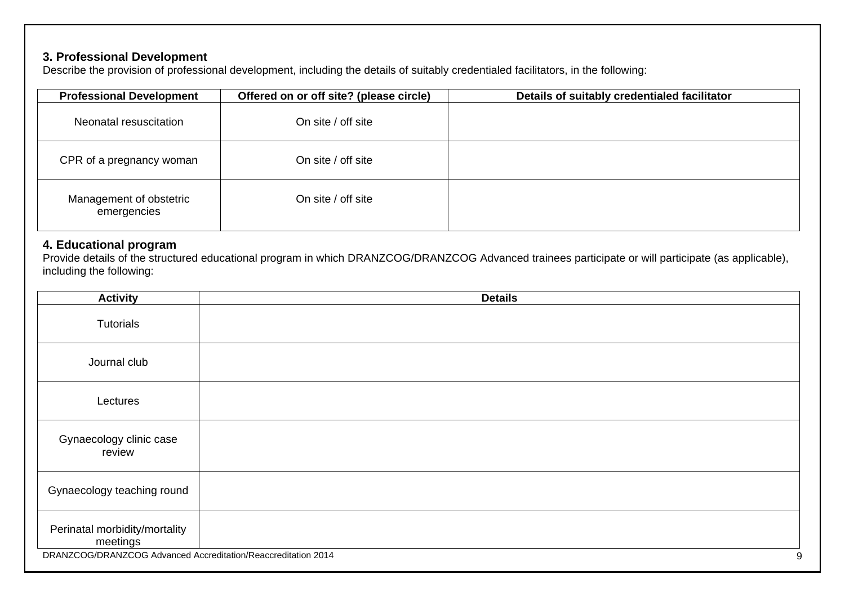## **3. Professional Development**

Describe the provision of professional development, including the details of suitably credentialed facilitators, in the following:

| <b>Professional Development</b>        | Offered on or off site? (please circle) | Details of suitably credentialed facilitator |
|----------------------------------------|-----------------------------------------|----------------------------------------------|
| Neonatal resuscitation                 | On site / off site                      |                                              |
| CPR of a pregnancy woman               | On site / off site                      |                                              |
| Management of obstetric<br>emergencies | On site / off site                      |                                              |

### **4. Educational program**

Provide details of the structured educational program in which DRANZCOG/DRANZCOG Advanced trainees participate or will participate (as applicable), including the following:

| <b>Activity</b>                                                                                            | <b>Details</b> |
|------------------------------------------------------------------------------------------------------------|----------------|
| Tutorials                                                                                                  |                |
| Journal club                                                                                               |                |
| Lectures                                                                                                   |                |
| Gynaecology clinic case<br>review                                                                          |                |
| Gynaecology teaching round                                                                                 |                |
| Perinatal morbidity/mortality<br>meetings<br>DRANZCOG/DRANZCOG Advanced Accreditation/Reaccreditation 2014 | 9              |
|                                                                                                            |                |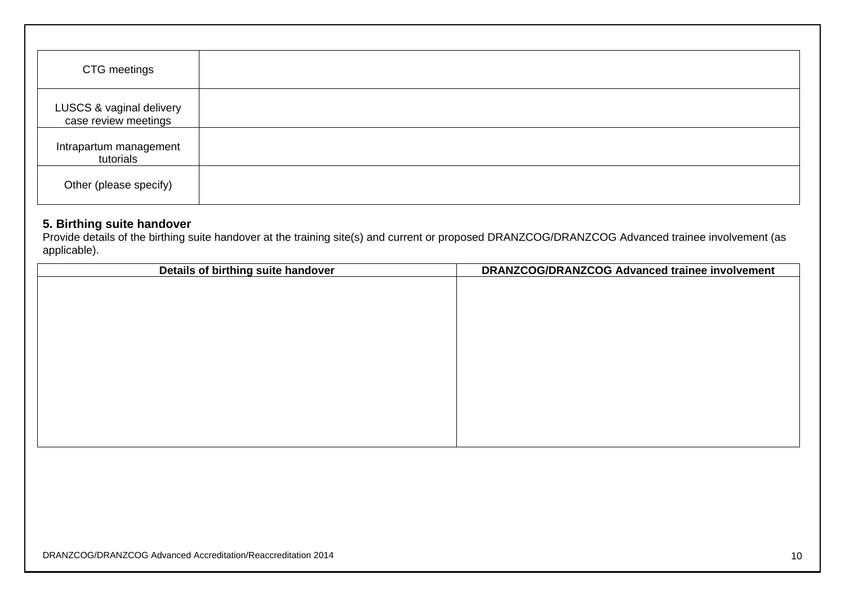| CTG meetings                                     |  |
|--------------------------------------------------|--|
| LUSCS & vaginal delivery<br>case review meetings |  |
| Intrapartum management<br>tutorials              |  |
| Other (please specify)                           |  |

### **5. Birthing suite handover**

Provide details of the birthing suite handover at the training site(s) and current or proposed DRANZCOG/DRANZCOG Advanced trainee involvement (as applicable).

| Details of birthing suite handover | DRANZCOG/DRANZCOG Advanced trainee involvement |
|------------------------------------|------------------------------------------------|
|                                    |                                                |
|                                    |                                                |
|                                    |                                                |
|                                    |                                                |
|                                    |                                                |
|                                    |                                                |
|                                    |                                                |
|                                    |                                                |
|                                    |                                                |
|                                    |                                                |
|                                    |                                                |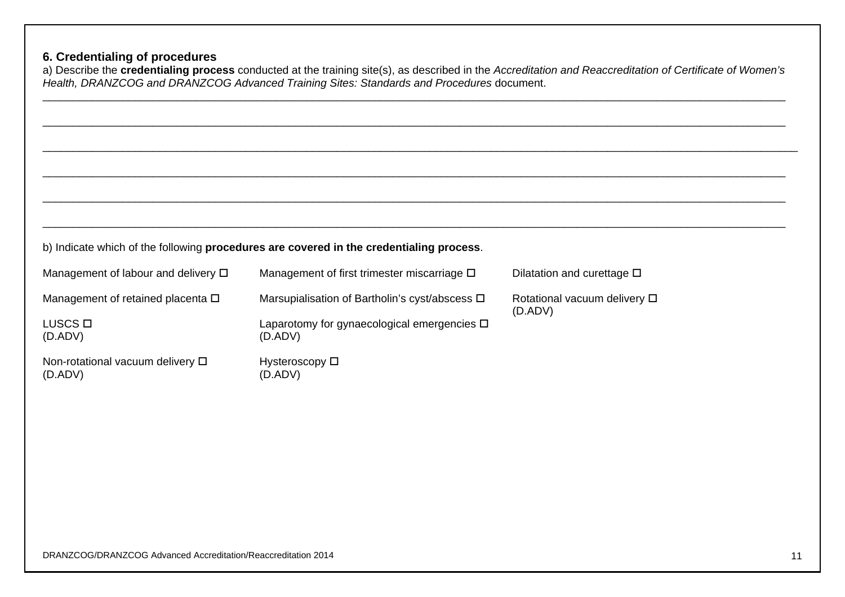## **6. Credentialing of procedures**

a) Describe the **credentialing process** conducted at the training site(s), as described in the *Accreditation and Reaccreditation of Certificate of Women's Health, DRANZCOG and DRANZCOG Advanced Training Sites: Standards and Procedures* document.

|                                              | b) Indicate which of the following procedures are covered in the credentialing process. |                                               |
|----------------------------------------------|-----------------------------------------------------------------------------------------|-----------------------------------------------|
| Management of labour and delivery $\Box$     | Management of first trimester miscarriage $\square$                                     | Dilatation and curettage $\square$            |
| Management of retained placenta $\square$    | Marsupialisation of Bartholin's cyst/abscess □                                          | Rotational vacuum delivery $\Box$<br>(D. ADV) |
| LUSCS <sub>D</sub><br>(D. ADV)               | Laparotomy for gynaecological emergencies $\Box$<br>(D. ADV)                            |                                               |
| Non-rotational vacuum delivery □<br>(D. ADV) | Hysteroscopy $\square$<br>(D. ADV)                                                      |                                               |